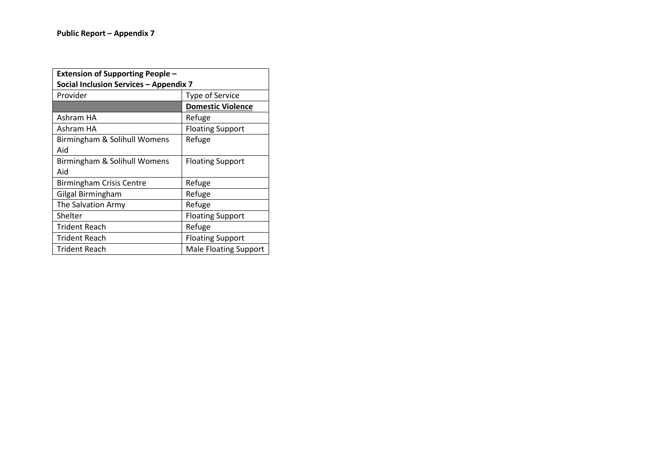| <b>Extension of Supporting People -</b> |                              |  |
|-----------------------------------------|------------------------------|--|
| Social Inclusion Services - Appendix 7  |                              |  |
| Provider                                | <b>Type of Service</b>       |  |
|                                         | <b>Domestic Violence</b>     |  |
| Ashram HA                               | Refuge                       |  |
| Ashram HA                               | <b>Floating Support</b>      |  |
| Birmingham & Solihull Womens            | Refuge                       |  |
| Aid                                     |                              |  |
| Birmingham & Solihull Womens            | <b>Floating Support</b>      |  |
| Aid                                     |                              |  |
| <b>Birmingham Crisis Centre</b>         | Refuge                       |  |
| Gilgal Birmingham                       | Refuge                       |  |
| The Salvation Army                      | Refuge                       |  |
| Shelter                                 | <b>Floating Support</b>      |  |
| <b>Trident Reach</b>                    | Refuge                       |  |
| <b>Trident Reach</b>                    | <b>Floating Support</b>      |  |
| Trident Reach                           | <b>Male Floating Support</b> |  |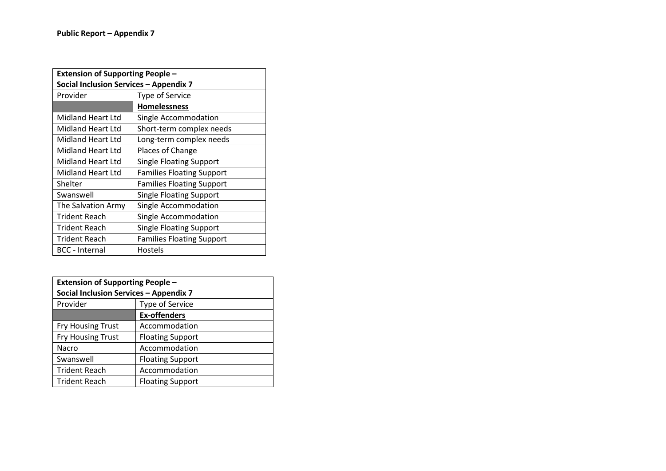| <b>Extension of Supporting People -</b> |                                  |  |
|-----------------------------------------|----------------------------------|--|
| Social Inclusion Services - Appendix 7  |                                  |  |
| Provider                                | <b>Type of Service</b>           |  |
|                                         | <b>Homelessness</b>              |  |
| Midland Heart Ltd                       | Single Accommodation             |  |
| <b>Midland Heart Ltd</b>                | Short-term complex needs         |  |
| <b>Midland Heart Ltd</b>                | Long-term complex needs          |  |
| <b>Midland Heart Ltd</b>                | Places of Change                 |  |
| <b>Midland Heart Ltd</b>                | <b>Single Floating Support</b>   |  |
| <b>Midland Heart Ltd</b>                | <b>Families Floating Support</b> |  |
| Shelter                                 | <b>Families Floating Support</b> |  |
| Swanswell                               | <b>Single Floating Support</b>   |  |
| The Salvation Army                      | Single Accommodation             |  |
| <b>Trident Reach</b>                    | Single Accommodation             |  |
| <b>Trident Reach</b>                    | <b>Single Floating Support</b>   |  |
| <b>Trident Reach</b>                    | <b>Families Floating Support</b> |  |
| <b>BCC</b> - Internal                   | Hostels                          |  |

| <b>Extension of Supporting People -</b> |                         |  |
|-----------------------------------------|-------------------------|--|
| Social Inclusion Services - Appendix 7  |                         |  |
| Provider                                | Type of Service         |  |
|                                         | <b>Ex-offenders</b>     |  |
| <b>Fry Housing Trust</b>                | Accommodation           |  |
| <b>Fry Housing Trust</b>                | <b>Floating Support</b> |  |
| Nacro                                   | Accommodation           |  |
| Swanswell                               | <b>Floating Support</b> |  |
| <b>Trident Reach</b>                    | Accommodation           |  |
| <b>Trident Reach</b>                    | <b>Floating Support</b> |  |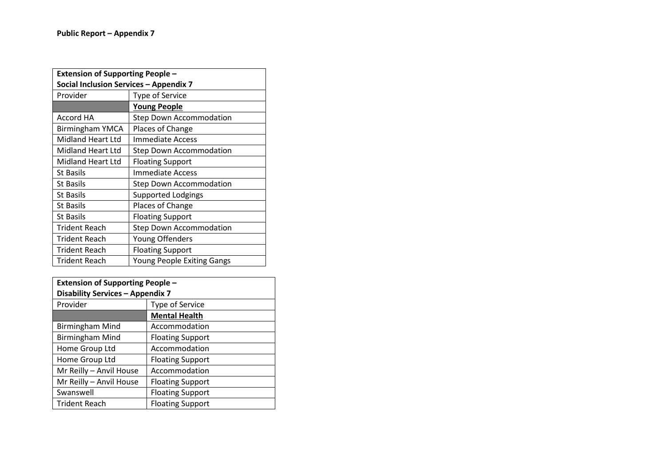| <b>Extension of Supporting People -</b> |                                   |  |
|-----------------------------------------|-----------------------------------|--|
| Social Inclusion Services - Appendix 7  |                                   |  |
| Provider                                | <b>Type of Service</b>            |  |
|                                         | <u>Young People</u>               |  |
| Accord HA                               | <b>Step Down Accommodation</b>    |  |
| <b>Birmingham YMCA</b>                  | Places of Change                  |  |
| Midland Heart Ltd                       | Immediate Access                  |  |
| Midland Heart Ltd                       | <b>Step Down Accommodation</b>    |  |
| Midland Heart Ltd                       | <b>Floating Support</b>           |  |
| <b>St Basils</b>                        | Immediate Access                  |  |
| <b>St Basils</b>                        | <b>Step Down Accommodation</b>    |  |
| <b>St Basils</b>                        | <b>Supported Lodgings</b>         |  |
| <b>St Basils</b>                        | Places of Change                  |  |
| <b>St Basils</b>                        | <b>Floating Support</b>           |  |
| <b>Trident Reach</b>                    | <b>Step Down Accommodation</b>    |  |
| <b>Trident Reach</b>                    | Young Offenders                   |  |
| Trident Reach                           | <b>Floating Support</b>           |  |
| <b>Trident Reach</b>                    | <b>Young People Exiting Gangs</b> |  |

| <b>Extension of Supporting People -</b> |                         |  |
|-----------------------------------------|-------------------------|--|
| <b>Disability Services - Appendix 7</b> |                         |  |
| Provider                                | Type of Service         |  |
|                                         | <b>Mental Health</b>    |  |
| <b>Birmingham Mind</b>                  | Accommodation           |  |
| <b>Birmingham Mind</b>                  | <b>Floating Support</b> |  |
| Home Group Ltd                          | Accommodation           |  |
| Home Group Ltd                          | <b>Floating Support</b> |  |
| Mr Reilly - Anvil House                 | Accommodation           |  |
| Mr Reilly - Anvil House                 | <b>Floating Support</b> |  |
| Swanswell                               | <b>Floating Support</b> |  |
| <b>Trident Reach</b>                    | <b>Floating Support</b> |  |